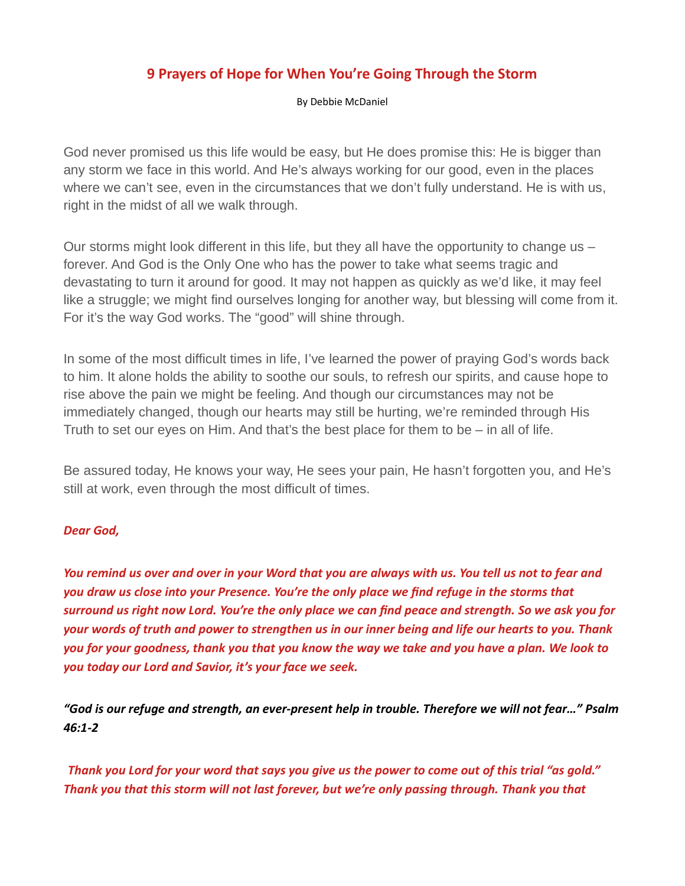## 9 Prayers of Hope for When You're Going Through the Storm

By Debbie McDaniel

God never promised us this life would be easy, but He does promise this: He is bigger than any storm we face in this world. And He's always working for our good, even in the places where we can't see, even in the circumstances that we don't fully understand. He is with us, right in the midst of all we walk through.

Our storms might look different in this life, but they all have the opportunity to change us – forever. And God is the Only One who has the power to take what seems tragic and devastating to turn it around for good. It may not happen as quickly as we'd like, it may feel like a struggle; we might find ourselves longing for another way, but blessing will come from it. For it's the way God works. The "good" will shine through.

In some of the most difficult times in life, I've learned the power of praying God's words back to him. It alone holds the ability to soothe our souls, to refresh our spirits, and cause hope to rise above the pain we might be feeling. And though our circumstances may not be immediately changed, though our hearts may still be hurting, we're reminded through His Truth to set our eyes on Him. And that's the best place for them to be – in all of life.

Be assured today, He knows your way, He sees your pain, He hasn't forgotten you, and He's still at work, even through the most difficult of times.

## Dear God,

You remind us over and over in your Word that you are always with us. You tell us not to fear and you draw us close into your Presence. You're the only place we find refuge in the storms that surround us right now Lord. You're the only place we can find peace and strength. So we ask you for your words of truth and power to strengthen us in our inner being and life our hearts to you. Thank you for your goodness, thank you that you know the way we take and you have a plan. We look to you today our Lord and Savior, it's your face we seek.

"God is our refuge and strength, an ever-present help in trouble. Therefore we will not fear…" Psalm 46:1-2

 Thank you Lord for your word that says you give us the power to come out of this trial "as gold." Thank you that this storm will not last forever, but we're only passing through. Thank you that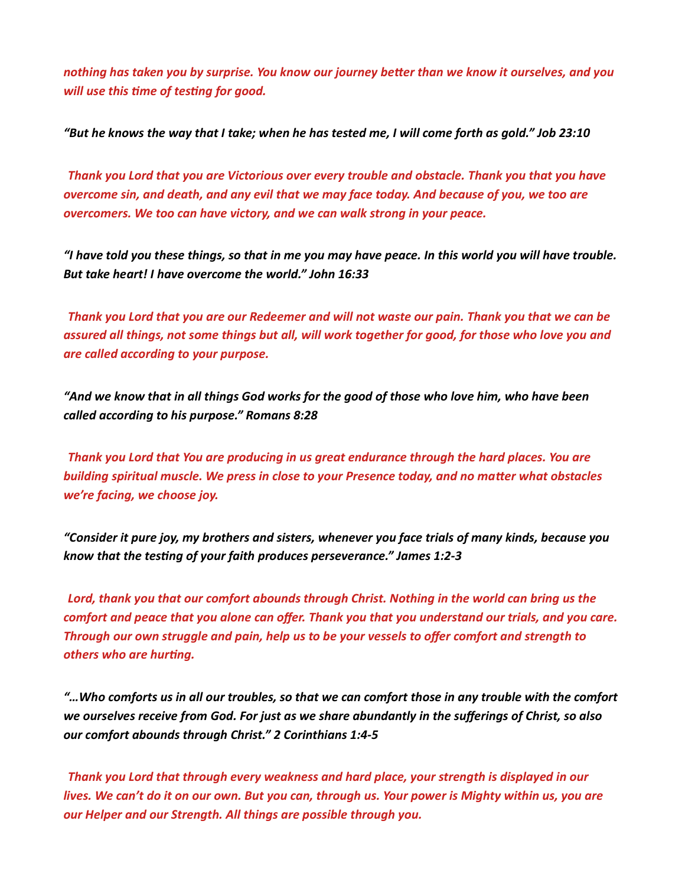nothing has taken you by surprise. You know our journey better than we know it ourselves, and you will use this time of testing for good.

"But he knows the way that I take; when he has tested me, I will come forth as gold." Job 23:10

 Thank you Lord that you are Victorious over every trouble and obstacle. Thank you that you have overcome sin, and death, and any evil that we may face today. And because of you, we too are overcomers. We too can have victory, and we can walk strong in your peace.

"I have told you these things, so that in me you may have peace. In this world you will have trouble. But take heart! I have overcome the world." John 16:33

 Thank you Lord that you are our Redeemer and will not waste our pain. Thank you that we can be assured all things, not some things but all, will work together for good, for those who love you and are called according to your purpose.

"And we know that in all things God works for the good of those who love him, who have been called according to his purpose." Romans 8:28

 Thank you Lord that You are producing in us great endurance through the hard places. You are building spiritual muscle. We press in close to your Presence today, and no matter what obstacles we're facing, we choose joy.

"Consider it pure joy, my brothers and sisters, whenever you face trials of many kinds, because you know that the testing of your faith produces perseverance." James 1:2-3

 Lord, thank you that our comfort abounds through Christ. Nothing in the world can bring us the comfort and peace that you alone can offer. Thank you that you understand our trials, and you care. Through our own struggle and pain, help us to be your vessels to offer comfort and strength to others who are hurting.

"…Who comforts us in all our troubles, so that we can comfort those in any trouble with the comfort we ourselves receive from God. For just as we share abundantly in the sufferings of Christ, so also our comfort abounds through Christ." 2 Corinthians 1:4-5

 Thank you Lord that through every weakness and hard place, your strength is displayed in our lives. We can't do it on our own. But you can, through us. Your power is Mighty within us, you are our Helper and our Strength. All things are possible through you.